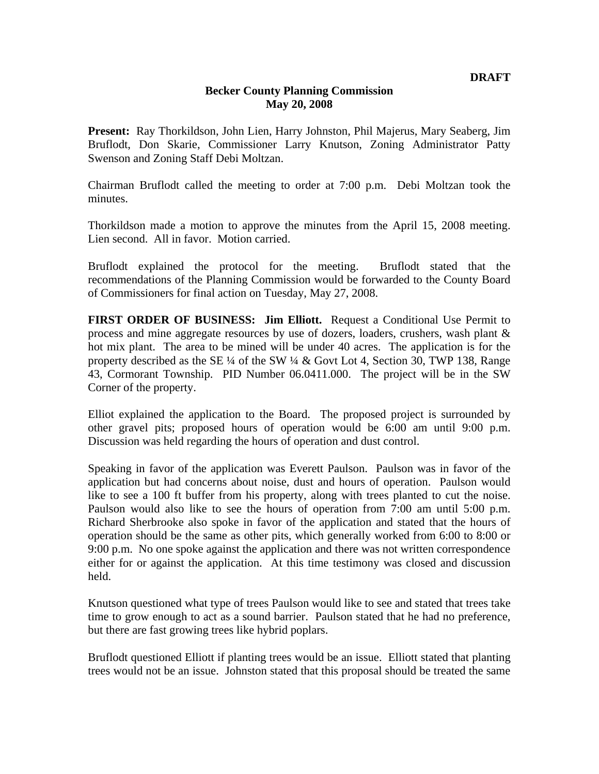## **Becker County Planning Commission May 20, 2008**

**Present:** Ray Thorkildson, John Lien, Harry Johnston, Phil Majerus, Mary Seaberg, Jim Bruflodt, Don Skarie, Commissioner Larry Knutson, Zoning Administrator Patty Swenson and Zoning Staff Debi Moltzan.

Chairman Bruflodt called the meeting to order at 7:00 p.m. Debi Moltzan took the minutes.

Thorkildson made a motion to approve the minutes from the April 15, 2008 meeting. Lien second. All in favor. Motion carried.

Bruflodt explained the protocol for the meeting. Bruflodt stated that the recommendations of the Planning Commission would be forwarded to the County Board of Commissioners for final action on Tuesday, May 27, 2008.

**FIRST ORDER OF BUSINESS: Jim Elliott.** Request a Conditional Use Permit to process and mine aggregate resources by use of dozers, loaders, crushers, wash plant & hot mix plant. The area to be mined will be under 40 acres. The application is for the property described as the SE ¼ of the SW ¼ & Govt Lot 4, Section 30, TWP 138, Range 43, Cormorant Township. PID Number 06.0411.000. The project will be in the SW Corner of the property.

Elliot explained the application to the Board. The proposed project is surrounded by other gravel pits; proposed hours of operation would be 6:00 am until 9:00 p.m. Discussion was held regarding the hours of operation and dust control.

Speaking in favor of the application was Everett Paulson. Paulson was in favor of the application but had concerns about noise, dust and hours of operation. Paulson would like to see a 100 ft buffer from his property, along with trees planted to cut the noise. Paulson would also like to see the hours of operation from 7:00 am until 5:00 p.m. Richard Sherbrooke also spoke in favor of the application and stated that the hours of operation should be the same as other pits, which generally worked from 6:00 to 8:00 or 9:00 p.m. No one spoke against the application and there was not written correspondence either for or against the application. At this time testimony was closed and discussion held.

Knutson questioned what type of trees Paulson would like to see and stated that trees take time to grow enough to act as a sound barrier. Paulson stated that he had no preference, but there are fast growing trees like hybrid poplars.

Bruflodt questioned Elliott if planting trees would be an issue. Elliott stated that planting trees would not be an issue. Johnston stated that this proposal should be treated the same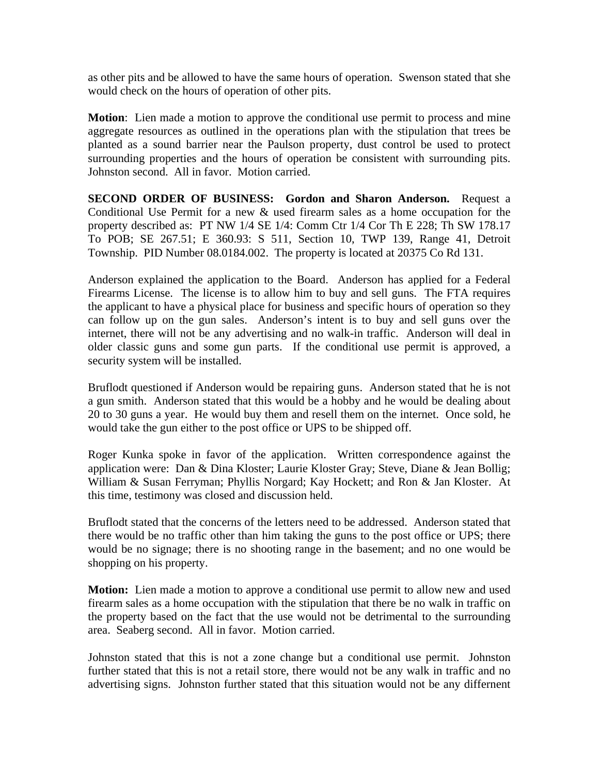as other pits and be allowed to have the same hours of operation. Swenson stated that she would check on the hours of operation of other pits.

**Motion**: Lien made a motion to approve the conditional use permit to process and mine aggregate resources as outlined in the operations plan with the stipulation that trees be planted as a sound barrier near the Paulson property, dust control be used to protect surrounding properties and the hours of operation be consistent with surrounding pits. Johnston second. All in favor. Motion carried.

**SECOND ORDER OF BUSINESS: Gordon and Sharon Anderson.** Request a Conditional Use Permit for a new & used firearm sales as a home occupation for the property described as: PT NW 1/4 SE 1/4: Comm Ctr 1/4 Cor Th E 228; Th SW 178.17 To POB; SE 267.51; E 360.93: S 511, Section 10, TWP 139, Range 41, Detroit Township. PID Number 08.0184.002. The property is located at 20375 Co Rd 131.

Anderson explained the application to the Board. Anderson has applied for a Federal Firearms License. The license is to allow him to buy and sell guns. The FTA requires the applicant to have a physical place for business and specific hours of operation so they can follow up on the gun sales. Anderson's intent is to buy and sell guns over the internet, there will not be any advertising and no walk-in traffic. Anderson will deal in older classic guns and some gun parts. If the conditional use permit is approved, a security system will be installed.

Bruflodt questioned if Anderson would be repairing guns. Anderson stated that he is not a gun smith. Anderson stated that this would be a hobby and he would be dealing about 20 to 30 guns a year. He would buy them and resell them on the internet. Once sold, he would take the gun either to the post office or UPS to be shipped off.

Roger Kunka spoke in favor of the application. Written correspondence against the application were: Dan & Dina Kloster; Laurie Kloster Gray; Steve, Diane & Jean Bollig; William & Susan Ferryman; Phyllis Norgard; Kay Hockett; and Ron & Jan Kloster. At this time, testimony was closed and discussion held.

Bruflodt stated that the concerns of the letters need to be addressed. Anderson stated that there would be no traffic other than him taking the guns to the post office or UPS; there would be no signage; there is no shooting range in the basement; and no one would be shopping on his property.

**Motion:** Lien made a motion to approve a conditional use permit to allow new and used firearm sales as a home occupation with the stipulation that there be no walk in traffic on the property based on the fact that the use would not be detrimental to the surrounding area. Seaberg second. All in favor. Motion carried.

Johnston stated that this is not a zone change but a conditional use permit. Johnston further stated that this is not a retail store, there would not be any walk in traffic and no advertising signs. Johnston further stated that this situation would not be any differnent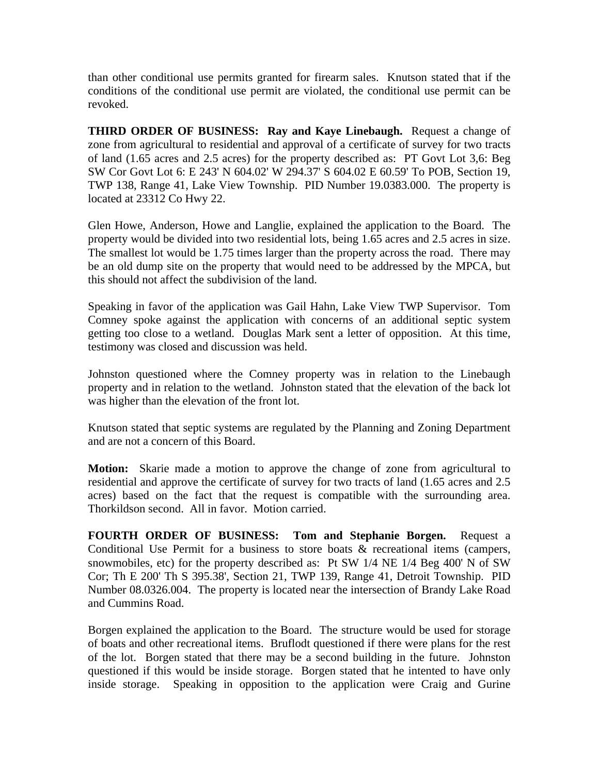than other conditional use permits granted for firearm sales. Knutson stated that if the conditions of the conditional use permit are violated, the conditional use permit can be revoked.

**THIRD ORDER OF BUSINESS: Ray and Kaye Linebaugh.** Request a change of zone from agricultural to residential and approval of a certificate of survey for two tracts of land (1.65 acres and 2.5 acres) for the property described as: PT Govt Lot 3,6: Beg SW Cor Govt Lot 6: E 243' N 604.02' W 294.37' S 604.02 E 60.59' To POB, Section 19, TWP 138, Range 41, Lake View Township. PID Number 19.0383.000. The property is located at 23312 Co Hwy 22.

Glen Howe, Anderson, Howe and Langlie, explained the application to the Board. The property would be divided into two residential lots, being 1.65 acres and 2.5 acres in size. The smallest lot would be 1.75 times larger than the property across the road. There may be an old dump site on the property that would need to be addressed by the MPCA, but this should not affect the subdivision of the land.

Speaking in favor of the application was Gail Hahn, Lake View TWP Supervisor. Tom Comney spoke against the application with concerns of an additional septic system getting too close to a wetland. Douglas Mark sent a letter of opposition. At this time, testimony was closed and discussion was held.

Johnston questioned where the Comney property was in relation to the Linebaugh property and in relation to the wetland. Johnston stated that the elevation of the back lot was higher than the elevation of the front lot.

Knutson stated that septic systems are regulated by the Planning and Zoning Department and are not a concern of this Board.

**Motion:** Skarie made a motion to approve the change of zone from agricultural to residential and approve the certificate of survey for two tracts of land (1.65 acres and 2.5 acres) based on the fact that the request is compatible with the surrounding area. Thorkildson second. All in favor. Motion carried.

**FOURTH ORDER OF BUSINESS: Tom and Stephanie Borgen.** Request a Conditional Use Permit for a business to store boats  $\&$  recreational items (campers, snowmobiles, etc) for the property described as: Pt SW 1/4 NE 1/4 Beg 400' N of SW Cor; Th E 200' Th S 395.38', Section 21, TWP 139, Range 41, Detroit Township. PID Number 08.0326.004. The property is located near the intersection of Brandy Lake Road and Cummins Road.

Borgen explained the application to the Board. The structure would be used for storage of boats and other recreational items. Bruflodt questioned if there were plans for the rest of the lot. Borgen stated that there may be a second building in the future. Johnston questioned if this would be inside storage. Borgen stated that he intented to have only inside storage. Speaking in opposition to the application were Craig and Gurine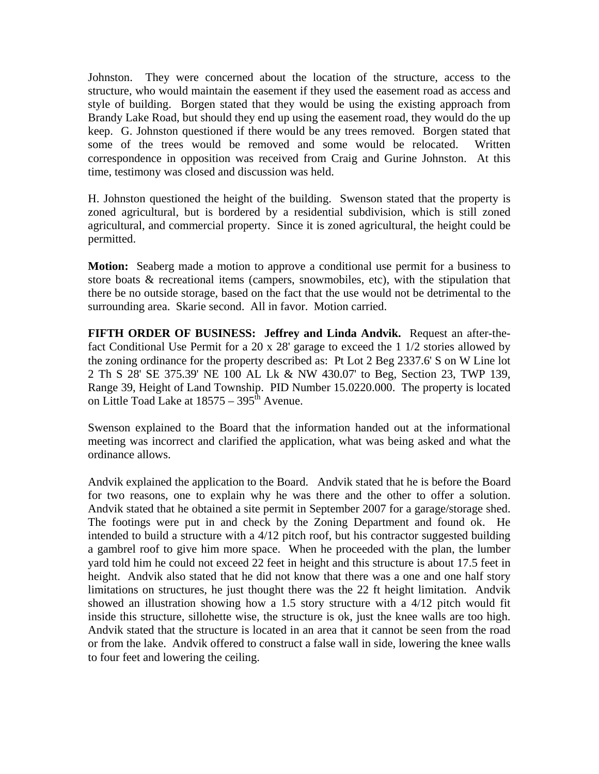Johnston. They were concerned about the location of the structure, access to the structure, who would maintain the easement if they used the easement road as access and style of building. Borgen stated that they would be using the existing approach from Brandy Lake Road, but should they end up using the easement road, they would do the up keep. G. Johnston questioned if there would be any trees removed. Borgen stated that some of the trees would be removed and some would be relocated. Written correspondence in opposition was received from Craig and Gurine Johnston. At this time, testimony was closed and discussion was held.

H. Johnston questioned the height of the building. Swenson stated that the property is zoned agricultural, but is bordered by a residential subdivision, which is still zoned agricultural, and commercial property. Since it is zoned agricultural, the height could be permitted.

**Motion:** Seaberg made a motion to approve a conditional use permit for a business to store boats & recreational items (campers, snowmobiles, etc), with the stipulation that there be no outside storage, based on the fact that the use would not be detrimental to the surrounding area. Skarie second. All in favor. Motion carried.

**FIFTH ORDER OF BUSINESS: Jeffrey and Linda Andvik.** Request an after-thefact Conditional Use Permit for a 20 x 28' garage to exceed the 1 1/2 stories allowed by the zoning ordinance for the property described as: Pt Lot 2 Beg 2337.6' S on W Line lot 2 Th S 28' SE 375.39' NE 100 AL Lk & NW 430.07' to Beg, Section 23, TWP 139, Range 39, Height of Land Township. PID Number 15.0220.000. The property is located on Little Toad Lake at  $18575 - 395^{\text{th}}$  Avenue.

Swenson explained to the Board that the information handed out at the informational meeting was incorrect and clarified the application, what was being asked and what the ordinance allows.

Andvik explained the application to the Board. Andvik stated that he is before the Board for two reasons, one to explain why he was there and the other to offer a solution. Andvik stated that he obtained a site permit in September 2007 for a garage/storage shed. The footings were put in and check by the Zoning Department and found ok. He intended to build a structure with a 4/12 pitch roof, but his contractor suggested building a gambrel roof to give him more space. When he proceeded with the plan, the lumber yard told him he could not exceed 22 feet in height and this structure is about 17.5 feet in height. Andvik also stated that he did not know that there was a one and one half story limitations on structures, he just thought there was the 22 ft height limitation. Andvik showed an illustration showing how a 1.5 story structure with a 4/12 pitch would fit inside this structure, sillohette wise, the structure is ok, just the knee walls are too high. Andvik stated that the structure is located in an area that it cannot be seen from the road or from the lake. Andvik offered to construct a false wall in side, lowering the knee walls to four feet and lowering the ceiling.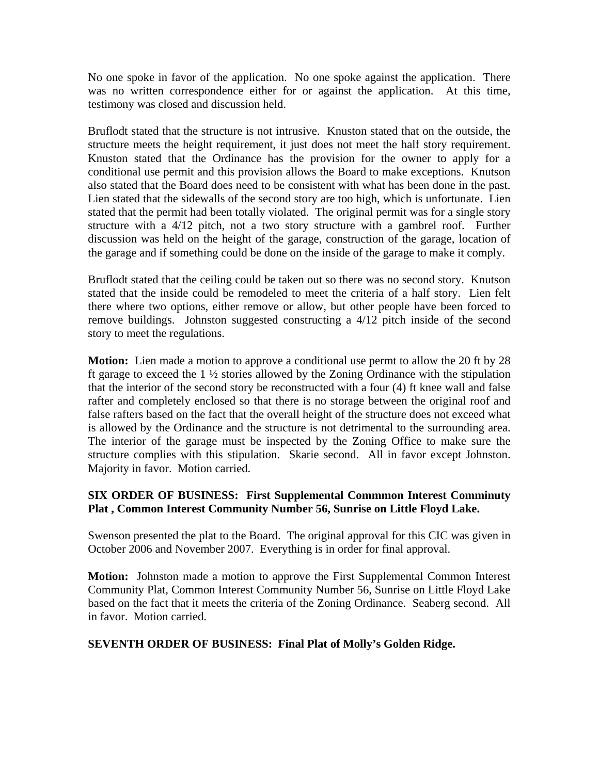No one spoke in favor of the application. No one spoke against the application. There was no written correspondence either for or against the application. At this time, testimony was closed and discussion held.

Bruflodt stated that the structure is not intrusive. Knuston stated that on the outside, the structure meets the height requirement, it just does not meet the half story requirement. Knuston stated that the Ordinance has the provision for the owner to apply for a conditional use permit and this provision allows the Board to make exceptions. Knutson also stated that the Board does need to be consistent with what has been done in the past. Lien stated that the sidewalls of the second story are too high, which is unfortunate. Lien stated that the permit had been totally violated. The original permit was for a single story structure with a 4/12 pitch, not a two story structure with a gambrel roof. Further discussion was held on the height of the garage, construction of the garage, location of the garage and if something could be done on the inside of the garage to make it comply.

Bruflodt stated that the ceiling could be taken out so there was no second story. Knutson stated that the inside could be remodeled to meet the criteria of a half story. Lien felt there where two options, either remove or allow, but other people have been forced to remove buildings. Johnston suggested constructing a 4/12 pitch inside of the second story to meet the regulations.

**Motion:** Lien made a motion to approve a conditional use permt to allow the 20 ft by 28 ft garage to exceed the 1 ½ stories allowed by the Zoning Ordinance with the stipulation that the interior of the second story be reconstructed with a four (4) ft knee wall and false rafter and completely enclosed so that there is no storage between the original roof and false rafters based on the fact that the overall height of the structure does not exceed what is allowed by the Ordinance and the structure is not detrimental to the surrounding area. The interior of the garage must be inspected by the Zoning Office to make sure the structure complies with this stipulation. Skarie second. All in favor except Johnston. Majority in favor. Motion carried.

## **SIX ORDER OF BUSINESS: First Supplemental Commmon Interest Comminuty Plat , Common Interest Community Number 56, Sunrise on Little Floyd Lake.**

Swenson presented the plat to the Board. The original approval for this CIC was given in October 2006 and November 2007. Everything is in order for final approval.

**Motion:** Johnston made a motion to approve the First Supplemental Common Interest Community Plat, Common Interest Community Number 56, Sunrise on Little Floyd Lake based on the fact that it meets the criteria of the Zoning Ordinance. Seaberg second. All in favor. Motion carried.

## **SEVENTH ORDER OF BUSINESS: Final Plat of Molly's Golden Ridge.**